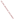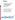

# **Environmental Technology Verification Program**  Advanced Monitoring Systems Center

Generic Verification Protocol for Continuous Emission Monitors for Ammonia at a Power Production Facility

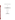# **GENERIC VERIFICATION PROTOCOL**

**FOR** 

# **CONTINUOUS EMISSION MONITORS FOR AMMONIA AT A POWER PRODUCTION FACILITY**

**September 2003** 

**Prepared by** 

**Battelle 505 King Avenue Columbus, OH 43201-2693**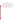#### **FOREWORD**

This generic verification protocol is based upon a peer-reviewed specific test/quality assurance (QA) plan entitled "Test/QA Plan for Verification of Continuous Emission Monitors for Ammonia at a Coal-Fired Facility" (dated June 2003). The test/QA plan was developed with vendor and stakeholder input by the ETV Advanced Monitoring Systems (AMS) Center. Peer reviewers for the test/QA plan were John Higuchi of the South Coast Air Quality Management District and AMS Center stakeholders Ernie Bouffard and Tom Logan. In preparing this generic verification protocol, specific names of individuals involved, technology vendors and technologies, test dates, and similar details in the test/QA plan were revised to be generic. The experimental design in the protocol is the same as that in the peer-reviewed test/QA plan.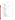# **TABLE OF CONTENTS**

| $\mathbf{1}$ |     |       |  |  |  |
|--------------|-----|-------|--|--|--|
|              | 1.1 |       |  |  |  |
|              | 1.2 |       |  |  |  |
|              | 1.3 |       |  |  |  |
|              |     | 1.3.1 |  |  |  |
|              |     | 1.3.2 |  |  |  |
|              |     | 1.3.3 |  |  |  |
|              |     | 1.3.4 |  |  |  |
|              |     | 1.3.5 |  |  |  |
|              |     |       |  |  |  |
| 2            |     |       |  |  |  |
|              | 2.1 |       |  |  |  |
|              | 2.2 |       |  |  |  |
|              | 2.3 |       |  |  |  |
|              | 2.4 |       |  |  |  |
|              | 2.5 |       |  |  |  |
|              |     | 2.5.1 |  |  |  |
|              |     | 2.5.2 |  |  |  |
|              |     | 2.5.3 |  |  |  |
| 3            |     |       |  |  |  |
|              | 3.1 |       |  |  |  |
|              | 3.2 |       |  |  |  |
|              | 3.3 |       |  |  |  |
|              | 3.4 |       |  |  |  |
|              | 3.5 |       |  |  |  |
|              | 3.6 |       |  |  |  |
|              |     |       |  |  |  |
| 4            |     |       |  |  |  |
|              | 4.1 |       |  |  |  |
|              |     | 4.1.1 |  |  |  |
|              |     | 21    |  |  |  |
|              | 4.2 |       |  |  |  |
|              |     | 4.2.1 |  |  |  |
|              |     | 4.2.2 |  |  |  |
|              | 4.3 |       |  |  |  |
|              | 4.4 |       |  |  |  |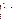# **TABLE OF CONTENTS (Continued)**

| 5 |           |                                                          |
|---|-----------|----------------------------------------------------------|
|   | 5.1       | 23                                                       |
|   |           | 5.1.1                                                    |
|   |           | 5.1.2                                                    |
|   |           | 5.1.3                                                    |
|   |           | Calibration Check/Dynamic Spiking Equipment  25<br>5.1.4 |
|   | 5.2       |                                                          |
|   |           | 5.2.1                                                    |
|   |           | 5.2.2                                                    |
|   |           | 5.2.3                                                    |
|   | 5.3       |                                                          |
|   |           | 5.3.1                                                    |
|   |           | 5.3.2                                                    |
|   |           | 5.3.3                                                    |
|   |           | 5.3.4                                                    |
|   |           | 5.3.5                                                    |
| 6 |           |                                                          |
|   | 6.1       | 30                                                       |
|   | 6.2       | 31                                                       |
|   | 6.3       | 33                                                       |
| 7 |           | 33                                                       |
| 8 |           | 34                                                       |
|   |           | <b>List of Figures</b>                                   |
|   | Figure 1. |                                                          |
|   |           |                                                          |

#### **List of Tables**

| Table 1. Summary of Data to be Obtained in Ammonia CEM Verification Test 16 |  |
|-----------------------------------------------------------------------------|--|
|                                                                             |  |
|                                                                             |  |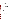# **ACRONYMS**

| <b>AMS</b>       | <b>Advanced Monitoring Systems</b>             |
|------------------|------------------------------------------------|
| <b>ASTM</b>      | American Society for Testing and Materials     |
| <b>CEM</b>       | continuous emission monitor                    |
| CO               | carbon monoxide                                |
| CO <sub>2</sub>  | carbon dioxide                                 |
| <b>EPA</b>       | <b>Environmental Protection Agency</b>         |
| <b>ETV</b>       | <b>Environmental Technology Verification</b>   |
| ft               | foot                                           |
| H <sub>2</sub> O | water                                          |
| IC               | ion chromatography                             |
| <b>ISE</b>       | ion selective electrode                        |
| <b>NIST</b>      | National Institute of Standards and Technology |
| $NO_{x}$         | nitrogen oxide                                 |
| O <sub>2</sub>   | oxygen                                         |
| PE               | performance evaluation                         |
| ppmy             | parts per million volume                       |
| QA               | quality assurance                              |
| QA/QC            | quality assurance/quality control              |
| QMP              | <b>Quality Management Plan</b>                 |
| <b>RA</b>        | relative accuracy                              |
| <b>RSD</b>       | relative standard deviation                    |
| <b>SCR</b>       | selective catalytic control                    |
| SO <sub>2</sub>  | sulfur dioxide                                 |
| <b>TSA</b>       | technical systems audit                        |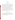#### **1 INTRODUCTION**

#### **1.1 Test Description**

This protocol provides generic procedures for the development of a test/quality assurance (QA) plan and verification test for continuous emission monitors (CEMs) used to measure gaseous ammonia in source emissions. Verification tests are conducted under the auspices of the U.S. Environmental Protection Agency's (EPA) Environmental Technology Verification (ETV) program. The purpose of ETV is to provide objective and quality-assured performance data on environmental technologies, so that users, developers, regulators, and consultants have an independent and credible assessment of what they are buying and permitting.

Verification tests are coordinated by Battelle, of Columbus, OH, which is EPA's partner for the ETV Advanced Monitoring Systems (AMS) Center. The scope of the AMS Center covers verification of monitoring methods for contaminants and natural species in air, water, and soil. In performing the verification test, Battelle will follow procedures specified in this protocol and will comply with quality requirements in the "Quality Management Plan for the ETV Advanced Monitoring Systems Center" (QMP).<sup>(1)</sup>

#### **1.2 Test Objective**

The objective of the verification test described in this protocol is to verify the performance of commercial ammonia CEMs by comparing them to reference ammonia measurements and by challenging them with ammonia standard gases. Testing can be conducted in facilities such as a full-scale coal-fired or gas turbine power plant using nitrogen oxide  $(NO_x)$ selective catalytic reduction (SCR) control technology.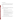#### **1.3 Roles and Responsibilities**

Verification tests are performed by Battelle in cooperation with EPA, the vendors whose CEMs are being verified, and a host facility. The organization chart is shown in Figure 1. The specific responsibilities of these individuals and organizations are detailed in the following paragraphs.

#### **1.3.1 Battelle**

The AMS Center's Verification Test Coordinator has overall responsibility for ensuring that the technical goals, schedule, and budget established for the verification test are met. More specifically, the Verification Test Coordinator shall

- Serve as Battelle's primary point of contact for vendor and test facility representatives
- Coordinate with the host facility to conduct the verification test, including establishing a subcontract as necessary
- Ensure that the procedures in this protocol are followed during the verification test
- Prepare draft verification reports and verification statements, revise according to reviewer comments, and be responsible for distribution of final copies
- Coordinate with the host facility, including collection and review of facility data
- Respond to any issues raised in assessment reports and audits, including instituting corrective action as necessary
- Ensure that vendor confidentiality is maintained.

The Verification Testing Leader for the AMS Center provides technical guidance and oversees the various stages of the verification test. The Verification Testing Leader shall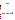

**Figure 1. Oganization Chart for the Ammonia CEM Verification Test**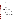- Support the Verification Test Coordinator (as necessary) in organizing the test
- Review the draft verification reports and statements.

The Battelle AMS Center Manager shall

- Review the draft verification reports and statements
- Ensure that necessary Battelle resources, including staff and facilities, are committed to the verification test
- Ensure that vendor confidentiality is maintained
- Support Verification Test Coordinator in responding to any issues raised in assessment reports and audits
- Maintain communication with the EPA AMS Center Manager and EPA AMS Center Quality Manager.

The Battelle Quality Manager for the verification test shall

- Conduct a pre-test OA review of the subcontracted reference sampling/analysis laboratory, if such a laboratory is employed in the verification
- Conduct a technical systems audit (TSA) once during the verification test
- Review results of performance evaluation audit(s) specified in this protocol
- Audit at least 10% of the verification data
- Prepare and distribute an assessment report for each audit
- Verify implementation of any necessary corrective action
- Issue a stop work order if internal audits indicate that data quality is being compromised; notify Battelle's AMS Center Manager if such an order is issued
- Provide a summary of the audit activities and results for the verification reports
- Review the draft verification reports and statements
- Ensure that all quality procedures specified in this protocol and in the  $QMP^{(1)}$  are followed.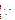Battelle testing staff will support the Verification Test Coordinator. These staff shall

- Assist in planning for the test, and making arrangements for the installation of the CEMs
- Assist vendors and host facility staff as needed during the CEM installation and verification testing
- Assure that test procedures and data acquisition are conducted according to this protocol or a specific test/QA plan
- Contribute to the planning of statistical treatment of the CEMs data as needed
- Perform statistical calculations specified in this protocol on the analyzer data as needed
- Provide results of statistical calculations and associated discussion for the verification reports as needed
- Support the Verification Test Coordinator in responding to any issues raised in assessment reports and audits related to statistics and data reduction as needed.

# **1.3.2 Vendors**

Vendor representatives shall

- Document acceptance of the test procedures specified in this protocol prior to the test
- Provide an ammonia CEM for the duration of the verification test
- • Commit or train a technical person to operate, maintain, and repair the CEM throughout the verification test
- Participate in verification testing, including providing data acquisition for their CEMs
- Provide to Battelle staff the data from their CEM at the conclusion of each test day
- Review their respective draft verification reports and statements.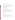#### EPA's AMS Center Quality Manager shall

- Perform, at EPA's option, one external technical systems audit during the verification test
- Notify EPA's AMS Center Manager to facilitate a stop work order if an external audit indicates that data quality is being compromised
- Prepare and distribute an assessment report summarizing the results of the external audit, if one is performed
- Review the draft verification reports and statements.

#### EPA's AMS Center Manager shall

- Notify the Battelle AMS Center Manager to facilitate a stop work order if the external audit indicates that data quality is being compromised
- Review the draft verification reports and statements
- Oversee the EPA review process on the verification reports and statements
- Coordinate the submission of verification reports and statements for final EPA approval.

# **1.3.4 Host Facility**

The responsibilities of the host facility shall be to

- Coordinate the operation of the host facility for the purposes of ETV testing
- Coordinate the installation of vendors' equipment at the host facility
- Communicate needs for safety and other training of staff working at the host facility
- Provide on-site staff to assist during testing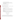- Provide calibrated facility monitoring equipment
- Provide data on facility operations during testing, for the verification reports
- Provide input in responding to any issues raised in assessment reports and audits related to facility operations
- Review draft verification reports and statements.

#### **1.3.5 Reference Sampling/Analysis Subcontractor(s)**

If reference measurements for ammonia are to be conducted by subcontractors to Battelle, the responsibilities of such subcontractors shall be to

- Adhere to the quality requirements in this protocol
- • Assemble trained technical staff to conduct reference method sampling for the verification test
- Cooperate in a pre-test QA review to be conducted by the Battelle Quality Manager
- Oversee and conduct laboratory analysis of the reference method samples as appropriate
- Report reference method analytical and quality assurance results to Battelle in an agreed-upon format
- Support the Verification Test Coordinator in responding to any issues raised in assessment reports and audits related to reference method sampling and analysis.

# **2 EXPERIMENTAL DESIGN**

# **2.1 Introduction**

This protocol is applicable to the verification testing of commercial CEMs for determining gaseous ammonia in combustion source emissions, specifically measuring ammonia from a full-scale coal-fired or gas turbine power plant employing  $NO<sub>x</sub>$  SCR technology. The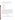overall objective of the verification test described is to evaluate the performance of new ammonia CEMs operating continuously over a relatively short test period.

The performance parameters to be addressed by the verification test include

- **Accuracy**
- **Comparability**
- Linearity
- Precision
- Calibration drift
- Zero drift
- Response time
- Data completeness
- Operational factors.

Accuracy shall be assessed for the CEMs being verified by determining the degree of agreement with known concentrations of compressed ammonia gas standards. Comparability shall be assessed through the degree of agreement with a reference method. Precision shall be assessed in terms of the repeatability of the ammonia measurements under stable test conditions. Calibration drift, zero drift, linearity, and response time shall be assessed using commercial compressed gas standards of ammonia. The effort expended in installing and maintaining each CEM shall be documented and used to assess ease of use. The amount of time each CEM is operational and the maintenance activities performed over the verification test period shall be recorded and reported, to help assess data completeness.

#### **2.2 Site Description**

The verification test shall be conducted at a power plant employing  $NO<sub>x</sub>$  SCR technology. The CEMs to be tested will be installed at the exit of the SCR and upstream of the air heater.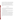Access to the flue gas for the CEMs and for wet chemical reference sampling should be available through ports in the duct at the testing location. Appropriate ports should be available for CEMs requiring cross-duct access. The ammonia concentration should be determined at multiple points across the entire duct cross section, either prior to or after testing, to assess the degree of stratification. In the event that the reference and CEM sampling ports cannot be closely collocated, the data from this mapping of ammonia across the duct can be used to correct for any stratification between sampling ports. During the test period, the boiler and SCR should operate continuously.

#### **2.3 General Design**

The verification test developed from this protocol shall be conducted over a period of approximately five weeks. Approximately two weeks prior to testing should be available for installing the commercial CEMs at the facility and conducting a shakedown run of all the CEMs before the verification test begins.

Testing shall not begin until all of the reference method equipment is ready and the facilities are operating normally. Similarly, it is desirable that all the commercial CEMs be fully operational to participate in the verification test.

The ammonia CEM testing shall involve continuous monitoring of ammonia by the CEMs over the entire test period with reference method sampling conducted on each weekday during the first and fifth weeks of the test period. A total of 15 duplicate reference samples shall be collected during both the first and fifth weeks. The average CEM readings during these periods shall be used for comparisons with the ammonia concentrations measured from the reference method samples. During each day of reference method sampling, a zero and span check shall be conducted on the CEMs by challenging each with zero air and an ammonia gas standard. These zero/span checks shall be used to assess drift of the CEMs during the test period.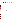During the third week of testing, each of the CEMs shall be challenged independently with a series of runs involving dynamic spiking of compressed ammonia gas standards. The results of these runs will be used to assess accuracy of the CEMs as well as the linearity in instrument response.

Throughout the verification test, each CEM undergoing testing shall be operated by the CEM vendor's own staff or by on-site staff trained by the vendor. However, the intent of the testing is for the CEM to operate continuously in a manner simulating operation at a power production facility. As a result, once the verification test has begun, no adjustment or recalibration will be performed, other than what would be conducted automatically by the CEM in normal unattended operation. Repair or maintenance procedures may be carried out at any time, but testing will not be interrupted; and data completeness will be reduced if such activities prevent collection of CEM data required for verification.

#### **2.4 Test Conditions**

Actual concentrations of parameters and gaseous constituents typical of the flue gas stream at the host facility during the testing period shall be measured. When reference method sampling is being conducted, the fuel loading and ammonia injection rate shall be held as constant as possible throughout the entire sampling period (e.g., fuel loading rate within  $\pm 10\%$ , and ammonia injection rate within  $\pm 10\%$  to allow comparisons of CEM data to reference method data under constant conditions. During normal operation, the ammonia concentrations in the flue gas should be at or below 2 parts per million volume (ppmv); and, during dynamic spiking, the range of concentrations should be changed to be between approximately 0 and 10 ppmv.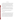#### **2.5 Test Procedures**

The CEMs undergoing verification shall be installed between the exit of the SCR and the inlet of the air heaters. Ports for the reference method sampling shall be located on the same duct as the CEMs as close as possible to the sampling locations of the CEMs. The sampling ports shall be assigned so that no CEM is affected by the operation of any other CEM or by the reference method sampling. In situ CEMs should be installed with either an in-line gas cell or an external gas cell that can be used for calibration and dynamic spiking purposes. Likewise the extractive systems should be installed with a means of spiking compressed gas into the sampling probe upstream of the in-line filter.

At either the beginning or the end of each test day during the first and fifth weeks of testing, the CEMs undergoing testing shall be supplied (one at a time) with zero gas and then with a commercial compressed gas standard containing ammonia. After reaching equilibrium, the response to each gas shall be recorded for use in assessing the zero and calibration drift of the CEMs.

 During the second and fourth weeks of the test, the CEMs will continue to operate continuously, though no zero/span checks or reference sampling will take place.

#### **2.5.1 Reference Method**

During testing, wet chemical reference samples shall be collected during the first and fifth weeks, using a time-integrated method for measurement of ammonia in flue gas. At the time of writing this generic protocol, the EPA Conditional Test Method (CTM  $027)^{(2)}$  was similar to a draft American Society for Testing and Materials (ASTM) method<sup>(3)</sup> that is designed specifically for measuring low levels of ammonia, typical of slip concentrations from SCR applications. There are, however, some notable differences between the two methods. The primary difference involves sample analysis rather than sample collection. The draft ASTM method<sup>(3)</sup> calls for analysis by ion selective electrode (ISE) whereas the EPA method<sup> $(2)$ </sup> calls for analysis by ion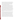chromatography (IC). Other differences between the draft ASTM method and EPA CTM027 include different concentrations and volumes of the sulfuric acid solution in impingers 1 and 2 of the sampling train. The draft ASTM method calls for a smaller volume of a more dilute acid solution. This is more appropriate than the approach recommended in EPA CTM027 for measuring low levels of ammonia, so the ASTM acid volumes and concentration shall be substituted in the EPA CTM027 method for this verification test.

During verification testing, reference sampling shall be conducted simultaneously with two trains collocated with the CEMs being tested. The sampling duration for each run will typically be between 30 and 60 minutes. Thus, each of the three reference sampling periods during a test day will provide two reference ammonia samples for comparison to the CEM data. Unique sample identification numbers shall be implemented so that final data used for verification can be traced back through the analytical process to the original sample. Field blank samples also shall be recovered from one blank sampling train on each of three days during each week that reference method samples are collected. Before sample recovery, that blank train shall be transported to the sampling location. As possible, different train equipment will be used for the blank train on different days. Additionally, on each of three days during each week of reference sampling, one sample train shall be spiked with ammonia solution to serve as a field spike sample.

Samples will be recovered from the reference method trains within two hours of sample collection. Each of the reference samples will be split into two portions, with one portion analyzed on-site by the draft ASTM method $^{(3)}$  and the second portion analyzed in the laboratory by the EPA CTM027<sup> $(2)$ </sup>. The ISE analysis shall be conducted within two hours of sample recovery using available on-site facilities. The front and back impingers shall be analyzed separately on-site by ISE. If no breakthrough has occurred (<10% of front end detected on the second impinger), the solutions will be combined for IC analysis. The results of the on-site analysis by ISE will not be used for verification of the CEMs. Rather they will be used to assess the ammonia levels being sampled and to ensure that the reference sampling is being performed properly. Samples for IC analysis shall be stored at  $4^{\circ}C \pm 2^{\circ}C$  (not frozen) and shall be shipped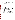on blue ice to the analytical laboratory within one week of sample collection. After receipt at the laboratory, the samples shall be stored at  $4^{\circ}C \pm 2^{\circ}C$  until analysis and shall be analyzed within two weeks of collection. Just prior to IC analysis, the samples shall be removed from refrigerated storage and allowed to slowly warm to room temperature.

At the ammonia concentrations to be used in the verification test, it is expected from previous results<sup> $(4)$ </sup> that the precision of duplicate reference method results will be within about 35% relative percent difference. It is expected that day-to-day reproducibility of ammonia levels in the facility will also be within that range. Thus, during normal operation it is expected that the ammonia levels will be consistent to  $\pm 35\%$  throughout each week of testing. As a result, the entire set of reference method results, not merely those from a single test day, shall be considered in screening for reference data quality. The reference method results shall be reviewed before verification comparisons are made to identify individual statistical outliers from the full set of reference method results. That is, the reference method results will be screened for two factors:

- Precision of results from collocated sampling trains
- Consistency of results with previous and later results at the respective sampling location.

Identification of outliers will be based on statistical tests such as a t-test comparison of means or a Q-test evaluation of divergent results. In any case where rejection of a reference result is suggested, an effort shall be made to find an assignable cause for the divergent result. Reference method results that are identified as statistical outliers on any of these criteria shall be reported, but shall not be used for verification. The intent of this approach is to provide a valid set of reference data for verification purposes, while also illustrating the degree of variability of the reference method.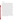#### **2.5.2 Dynamic Spiking**

During the third week of testing, each of the CEMs shall be challenged with a series of dynamic spiking runs. During these runs the ammonia concentrations shall be increased by approximately 2, 5, and 8 ppmv above the flue gas concentration. At each spike concentration, a series of runs will be conducted including 12 spiked and 12 unspiked sample measurements. These measurements shall be performed by sampling pairs of spiked samples, followed by sampling pairs of unspiked samples. Prior to measurement, each CEM shall be readied by purging the gas cell (for in situ analyzers) with at least 10 volumes of zero air or by purging the sampling probe (for extractive CEMs) with at least 10 volumes of sample gas. After this purging is completed, a standard ammonia gas mixture will be introduced, at a measured flow rate, to the gas cell (for in situ analyzers), or to the sampling probe (for extractive CEMs). The CEM readings of the spiked sample shall be recorded after at least 10 volumes of gas have passed through the gas cell or sampling probe. A second spiked sample shall be measured after at least five volumes of gas have passed through the sample cell or sampling probe after the measurement of the first spiked sample. After the second spiked sample is measured, a pair of unspiked samples shall be measured following the same procedure as the spiked samples, with the exception that zero air will be substituted for the ammonia spike gas. The procedures for the collection of the spiked and unspiked samples shall be conducted a total of six times at each of the spike concentrations to obtain 12 spiked and 12 unspiked samples at each concentration.

For the in situ CEMs, these dynamic spiking runs shall be conducted by flowing compressed ammonia gas standards into the in-line or external gas cell to achieve the desired ammonia concentrations. The ammonia and the zero air will be supplied as described above or until the CEM readings reach equilibrium, at which point the measured concentration and the spike gas flow rate will be recorded. The volume/length of the gas cell, the optical pathlength, and the known concentration of the gas standard shall be used to calculate the theoretical increase in cross-stack concentration introduced during the run.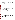For the extractive CEMs, the dynamic spiking shall be conducted by injecting ammonia gas into the probe tip upstream of the particulate filter such that the ammonia passes through as much of the sampling system as possible. The ammonia gas standard should mix with the flue gas at a ratio of approximately one part spike gas to nine parts flue gas or more dilute. The flow rate of the compressed gas and the dilution ratio of the spike gas shall be used to calculate the theoretical increase in concentration introduced during the spiking.

#### **2.5.3 Data Comparisons**

Table 1 summarizes the data that will be used for the verification comparisons. The results of the dynamic spiking shall be used to assess accuracy of the CEM results relative to calculated ammonia concentrations determined from the spike gas concentration and flow rate. For each spiking run, the difference between the ammonia concentration measured by the CEM and the calculated ammonia concentration from spiking will be determined. The differences will be used to assess accuracy of the CEM results.

For comparison to the reference method results, the measurements from each of the CEMs will be separately averaged over each of the individual reference sampling periods. Comparability with the reference method shall be assessed by comparing the averaged CEM results during the reference sampling periods with the reference results from the respective periods. A total of 30 ammonia reference sampling runs should be made in the verification test (15 during each of the first and fifth weeks of testing), with two reference method sampling trains operating simultaneously in each sampling run. Thus a total of 60 reference samples will be used to evaluate comparability of the CEMs relative to the reference method.

Linearity of the CEM response shall be assessed from the dynamic spiking results. The measured ammonia concentrations and the calculated ammonia concentrations will be used to assess linearity in the range from the background concentration to approximately 8 ppmv above background. A total of 72 data points (36 background and 12 each at 2, 5, and 8 ppmv above background) will be used for this assessment.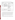| <b>Performance</b><br><b>Parameter</b> | Objective                                                                                                                      | <b>Comparison Based On</b>                                                                                                                                                                                         | <b>Total Number of</b><br><b>Data Points for</b><br><b>Verification</b> |
|----------------------------------------|--------------------------------------------------------------------------------------------------------------------------------|--------------------------------------------------------------------------------------------------------------------------------------------------------------------------------------------------------------------|-------------------------------------------------------------------------|
| Accuracy                               | Dynamic spiking with ammonia<br>Determine degree of quantitative<br>agreement with compressed gas<br>gas standards<br>standard |                                                                                                                                                                                                                    | 36                                                                      |
| Comparability                          | Reference method results<br>Determine degree of quantitative<br>agreement with reference method                                |                                                                                                                                                                                                                    | 60                                                                      |
| Linearity                              | Determine linearity of response over<br>a range of ammonia concentrations                                                      | Dynamic spiking with gas<br>standards                                                                                                                                                                              | 72                                                                      |
| Precision                              | Determine repeatability of successive<br>measurements at fixed ammonia<br>levels                                               | Repetitive measurements under<br>constant facility conditions<br>measured over the duration of<br>each reference method<br>sampling run, and each<br>dynamic spiking run<br>Repetitive ammonia standard<br>testing | 66                                                                      |
| Cal/Zero Drift                         | Determine stability of zero gas and<br>span gas response over successive<br>days                                               | Zero gas and $NH3$ gas standard                                                                                                                                                                                    | 10                                                                      |
| Response Time                          | Determine rise and fall time                                                                                                   | Recording successive readings<br>at start and end of sampling<br>$NH3$ gas standard                                                                                                                                | 6                                                                       |

**Table 1. Summary of Data to be Obtained in Ammonia CEM Verification Test** 

Precision of the CEMs shall be assessed based on the individual measurements performed by each CEM over the duration of each reference method sampling run. For example, if a CEM provides an updated measurement every five minutes; then, over a 25-minute sampling run, a total of five readings would be obtained. The average and standard deviation of those readings will be calculated to assess precision. This procedure will be applied to each of the 30 reference method sampling intervals and each of the 36 dynamic spiking runs at elevated ammonia concentrations.

Calibration and zero drift shall be verified based on challenging the CEMs with zero gas and with a compressed gas standard of ammonia on each test day during the first and fifth weeks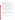of the test. Thus up to 10 data points will be used to assess zero drift and an equal number to assess calibration drift. Calibration drift of the CEMs will be assessed at approximately 80% of full scale for each of the CEMs.

CEM response time shall be assessed once in each of the first, third, and fifth weeks of the test by recording successive CEM readings as the CEM responds to the ammonia gas standard or returns to baseline after analysis of that standard. The former readings will indicate the CEM rise time and the latter the CEM fall time.

No additional test activities will be required to determine the data completeness achieved by the CEMs. Data completeness shall be assessed by comparing the data recovered from each CEM to the amount of data that would be recovered upon completion of all portions of these test procedures.

Setup and maintenance needs shall be documented qualitatively, both through observation and through communication with the vendors (or their trained representatives) during the test. Factors to be noted include the frequency of scheduled maintenance activities, the down time of the CEM, and the number of staff operating or maintaining it during the verification test.

### **3 STATISTICAL CALCULATIONS**

The statistical calculations to be used to verify CEM performance are described below. In all cases, measurement results from both the reference method and the CEMs undergoing testing are to be reported in units of ppmv on a dry basis at  $20 °C$ , 1 atmosphere pressure, and the actual flue gas oxygen  $(O_2)$  content.

#### **3.1 Relative Accuracy**

The relative accuracy (RA) of the CEMs with respect to the ammonia gas standards will be assessed using Equation 1: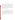$$
RA = \frac{\left|\overline{d}\right| + t_{n-1}^{\alpha} \frac{S_d}{\sqrt{n}}}{x} \times 100\%
$$
\n(1)

where *d* refers to the difference between the calculated ammonia concentration from the dynamic spiking and the average of the CEM measurements recorded during the respective spiking periods, and *x* corresponds to the calculated spike concentration.  $S_d$  denotes the sample standard deviation of the differences, while  $t_{n-1}^{\alpha}$  is the t value for the 100(1 -  $\alpha$ )th percentile of the distribution with n-1 degrees of freedom. The RA will be determined for an  $\alpha$  value of 0.025 (i.e., 97.5% confidence level, one-tailed). The RA calculated in this way can be interpreted as an upper confidence bound for the relative bias of the CEM, i.e.,  $\frac{|\vec{d}|}{\bar{x}}$ , where the superscript bar indicates the average value of the differences or of the reference values. RA shall be calculated separately at each of the spiking levels.

#### **3.2 Comparability**

The comparability of the CEM results and the EPA CTM027 $(2)$  reference method results shall be assessed using Equation 1, in which *d* represents the difference between the average of paired reference method results and the average of the CEM results from the period during which the paired reference method samples were collected, and *x* corresponds to the average of the paired reference method results. Comparability will be calculated using all EPA CTM  $027<sup>(2)</sup>$ reference method sample results (assuming all reference method samples can be treated as independent results). The impact of the number of data points (n) on the RA value will be noted in the verification report.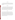#### **3.3 Linearity**

Linearity shall be assessed by a linear regression analysis of the dynamic spiking data using the calculated ammonia concentrations as the independent variable and the CEM results as the dependent variable. Linearity will be expressed in terms of slope, intercept, and coefficient of determination  $(r^2)$ .

#### **3.4 Precision**

Precision shall be calculated in terms of the percent relative standard deviation (RSD) of a series of CEM measurements made over the duration of each reference method sampling run with ammonia injected at a constant level into the SCR zone and during each of the dynamic spiking runs. During each reference method sampling run, and during each dynamic spiking run, all readings from a CEM undergoing testing will be recorded, and the mean and standard deviation of those readings will be calculated. Precision (*P*) will then be determined as

$$
P = \frac{SD}{\overline{X}} \times 100\tag{2}
$$

where *SD* is the standard deviation of the CEM readings and *X* is the mean of the CEM readings. This calculation will be done for each CEM, using the CEM data collected during every reference method sampling run and dynamic spiking run. The verification report will note that the calculated precision is subject to the variability of the host facility, and not only to the CEM variability. Although no comparison among CEMs will be made, all CEM data from the periods of reference sampling will be reviewed to assess whether the consensus of the CEM data indicates an unusual variation in the test facility itself. If such a variation is indicated, that finding will be noted in all verification reports.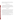An additional precision assessment may be made by sampling an ammonia standard from the probe inlet for one hour. These repeated measurements may be reported along with the precision assessment made from measuring the flue gases.

#### **3.5 Calibration and Zero Drift**

Calibration and zero drift shall be reported in terms of the mean, RSD, and range (maximum and minimum) of the readings obtained from the CEM in the daily sampling of the same ammonia standard gas and of zero gas. Up to 10 ammonia standard readings, and up to 10 zero readings, will be used for this calculation. This calculation, along with the range of the data, will indicate the day-to-day variation in zero and standard readings.

#### **3.6 Response Time**

Response time shall be assessed in terms of both the rise and fall times of each ammonia CEM when sampling the ammonia gas standard. Rise time (i.e., 0% to 95% response time) will be determined by recording all CEM readings as the gas supplied to the CEM is switched from zero gas to the ammonia standard. Once a stable response has been achieved with the gas standard, the fall time (i.e., the 100% to 5% response time) will be determined in a similar way, by recording all CEM readings as the gas supplied is switched from the ammonia standard back to zero gas. For CEMs that provide periodic rather than continuous readings, determination of rise and fall times may involve interpolation between readings.

Rise and fall times shall each be determined once for each CEM in each of the first, third, and fifth weeks of the test. Thus a total of six data points will be obtained relevant to response time for each CEM. Rise and fall times will be reported in units of seconds.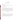#### **4 MATERIALS AND EQUIPMENT**

#### **4.1 Gases and Chemicals**

#### **4.1.1 High Purity Nitrogen/Air**

The high purity gases used for zeroing the CEMs shall be commercial ultra-high purity (i.e., minimum 99.999% purity) air or nitrogen.

#### **4.1.2 Ammonia Standard Gases**

Compressed gas standards containing ammonia shall be obtained for use in the calibration checks and the dynamic spiking activities of the CEMs. These will consist of ammonia in a nitrogen matrix, at levels appropriate to achieve increases above background concentrations of approximately 2, 5, and 8 ppmv during dynamic spiking and for use in the calibration checks performed during the first and last weeks of testing. Multiple cylinders of uniform concentration will be obtained, if required to meet the gas consumption rates of the CEMs during the test.

#### **4.2 Reference Method**

#### **4.2.1 Sampling Trains**

The glassware, filters, and associated equipment for performance of the reference method<sup>(2)</sup> sampling shall be supplied by the subcontractor and will meet the requirements of the EPA conditional test method for ammonia measurement. Multiple trains will be supplied so that six trains (i.e., three sampling runs with two trains each) may be sampled in a single day, in addition to at least three blank trains and three spiked trains per week.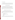#### **4.2.2 Analysis Equipment**

Laboratory equipment for sample recovery and analysis shall include all chemicals and solutions for preparation of the samples for analysis as well as for the analysis of the samples. An ISE will be provided for on-site analysis, and an IC will be available for laboratory analysis.

#### **4.3 Facility Monitoring Equipment**

Monitoring equipment should include monitors for major flue gas constituents  $[$ (O<sub>2</sub>, carbon dioxide  $(CO_2)$ ] and for chemical contaminants  $[(CO, NO_x, sulfur dioxide (SO<sub>2</sub>)]$ , as well as sensors for temperature and pressure and may include ammonia CEM systems already installed at the facility. These devices are considered part of the host facility for purposes of this test, and will be operated by the host facility during this verification according to normal facility procedures.

#### **4.4 Equipment Used for Performance Evaluation Audits**

Performance evaluation (PE) audits shall be performed for the temperature and pressure measurements in the flue gas. Those PE audits will be performed by conducting a parallel measurement using an independent monitoring device. The devices to be used may include the following:

- Thermocouple temperature indicator
- Aneroid barometer
- Magnehelic differential pressure indicator
- Flow meter
- Balance.

These devices will have been calibrated by the manufacturer or by Battelle's Instrument Laboratory within the six months immediately preceding the verification test or calibrated on site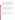and the IC.

as necessary. In addition, a calibrated set of weights shall be used to audit the balance used to weigh impingers from the reference method trains (used for determining flue gas H<sub>2</sub>O content).

A National Institute of Standards and Technology (NIST)-traceable ammonia standard solution will also be used to spike three blank reference method trains, in each of the first and fifth weeks of the test to assess the overall ammonia measurement. NIST-traceable ammonia standards will be used to prepare blind audit samples to assess the performance of both the ISE

# **5 QUALITY ASSURANCE/QUALITY CONTROL**

Quality assurance/quality control (QA/QC) activities include providing blank sampling trains (three per week) and blank sampling materials (filters, reagent solution blanks) in the field. Documentation of these activities is required in the verification data file. Deviation from the reference method<sup> $(2)$ </sup> will occur as a result of using the concentrations and volumes identified in the draft ASTM method $^{(3)}$  for solutions used in the impingers.

#### **5.1 Equipment Calibrations**

#### **5.1.1 Host Facility Equipment**

Monitoring devices shall be calibrated by host facility staff according to normal facility procedures. All calibration results must be documented for inclusion in the verification test data files and verification report.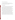#### **5.1.2 Reference Method Sampling Equipment**

Equipment to collect the reference samples shall be calibrated according to the procedures described in the reference method $^{(2)}$ . All calibration results must be documented for inclusion in the verification test data files and verification report.

#### **5.1.3 Analytical Equipment**

Analysis of the reference samples shall be conducted both on-site using an ISE and in a laboratory using IC. The ISE analysis will be used only for initial QA purposes to ensure that the ammonia levels in the duct are within the expected range and to ensure that the reference sampling is being conducted properly. The ISE shall be calibrated according to the manufacturer's recommendations using at least three different solutions prepared from NISTtraceable ammonia standards. Immediately after calibration, at least three standard solutions will be reanalyzed using the ISE. If the ISE reading does not agree between the standard concentration of the solutions within 10%, the calibration will be repeated. The calibration will be conducted on-site daily during each week of reference sampling and will include ammonia concentrations that will bracket the concentrations expected in the reference samples.

The equipment used for the IC analysis shall be calibrated by staff of the laboratory performing the analysis. The calibration will be conducted according to the manufacturer recommendations and the requirements of the reference method $^{(2)}$  and will include concentrations of ammonia standard solutions that bracket the expected concentration of the sample solutions. The calibration will be acceptable if the  $r^2$  of the calibration curve is  $>0.95$ . All calibration results must be documented for inclusion in the verification test data files and verification report.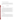#### **5.1.4 Calibration Check/Dynamic Spiking Equipment**

The dry gas meter used to measure the spike gas flow rate during the calibration checks and the dynamic spiking activities shall be calibrated against a NIST-traceable flow transfer standard. The date of the calibration will be within one year of the date of the dynamic spiking activities.

#### **5.2 QA/QC Samples**

#### **5.2.1 Field Blanks**

During each week of reference method sampling, a total of three sampling trains shall be used as field blank samples. These trains will be prepared and transported to the sampling location, but will not be used to collect a sample of flue gas. The trains will then be disassembled, and the field blank solutions will be analyzed on-site by ISE to ensure that the background concentration as a result of on-site handling and exposure is negligible relative to the ammonia content of the samples. If background levels are greater than 10% of the sample concentrations, no additional reference sampling will be conducted until the cause of the contamination is identified and rectified. The field blank solutions will also be analyzed in the laboratory by IC.

#### **5.2.2 Laboratory Blanks**

Laboratory blank solutions shall be prepared for both ISE and the IC analysis. The solutions will be analyzed prior to analysis of the reference samples. A laboratory blank solution will be analyzed after every  $10<sup>th</sup>$  reference method sample to ensure no drift in the ISE or IC instrumentation. If the blank levels are greater than 10% of the expected sample concentrations, the cause of the contamination will be identified and rectified, all analyses performed after the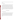most recent acceptable blank will be invalidated, and analysis of those samples will be repeated (if possible).

#### **5.2.3 Laboratory Spikes**

Laboratory spike solutions shall be prepared with concentrations approximately equal to ammonia concentrations expected from the collection of a 5  $ft<sup>3</sup>$  sample of flue gas with 2 ppmv ammonia. These solutions will be prepared for both ISE and the IC analysis using NISTtraceable ammonia solutions. The solutions will be analyzed prior to analysis of the reference samples. A laboratory spike solution will be analyzed after every  $10<sup>th</sup>$  reference method sample to ensure that there is no drift in the ISE or IC instrumentation. If the measured concentrations are not within  $\pm 10\%$  of the spike concentration, the cause of the discrepancy will be investigated and rectified if possible. If such a discrepancy is observed, all analyses performed after the most recent acceptable spike will be invalidated; and analysis of those samples will be repeated (if possible).

#### **5.3 Assessment and Audits**

#### **5.3.1 Technical Systems Audits**

Battelle's ETV Quality Manager shall perform a TSA once during the performance of the verification test. The purpose of this TSA is to ensure that the verification test is performed in accordance with this protocol, the test/QA plan, the Battelle AMS Center  $OMP^{(1)}$ , and all associated methods and standard operating procedures. In this audit, the Battelle Quality Manager will review the reference sampling and analysis methods used, compare actual test procedures to those specified in this protocol, and review data acquisition and handling procedures.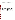At EPA's discretion, EPA QA staff may also conduct an independent on-site TSA during the verification test. The TSA findings will be communicated to testing staff at the time of the audit and documented in a TSA report.

#### **5.3.2 Performance Evaluation Audit**

A PE audit shall be conducted to assess the quality of the measurements made in the verification test. This audit addresses only those measurements that factor into the data used for verification, i.e., the CEMs being verified and the vendors operating these CEMs are not the subject of the PE audit. This audit will be performed once during the verification test and must be performed by analyzing a standard or comparing to a reference that is independent of standards used during the testing. For most of the key measurements, this audit will be done by comparing data from the facility equipment to that from a second analyzer or monitor operated simultaneously. Comparisons will be made for temperature, pressure, and balance. In addition, the balance used to determine flue gas H<sub>2</sub>O content by means of the reference method impinger samples will be checked with a calibrated set of weights different from those used to calibrate the balance for use. Table 2 summarizes the PE audits that will be done. These audits will be the responsibility of Battelle staff and will be carried out with the cooperation of host facility staff.

These PE audits will be carried out once during the period of operation at the host facility. Battelle will supply the equipment or standards needed to make the independent PE measurements. If agreement outside the indicated tolerance is found, the PE audit will be repeated. Further failure to achieve agreement will result in recalibrating the independent measurement device. Continued lack of agreement will result in all relevant data being flagged.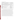|  |  | Table 2. Summary of PE Audits |
|--|--|-------------------------------|
|--|--|-------------------------------|

| <b>Parameter</b>                               | <b>Audit Procedure</b>                            | <b>Expected Tolerance</b>                  |  |
|------------------------------------------------|---------------------------------------------------|--------------------------------------------|--|
| Temperature                                    | Compare to independent temperature<br>measurement | $\pm 2\%$ absolute temperature             |  |
| <b>Barometric Pressure</b>                     | Compare to independent pressure measurement       | $\pm 0.5$ inch of H <sub>2</sub> O         |  |
| Flue Gas Differential<br>Pressure              | Compare to independent pressure measurement       | $\pm 0.5$ inch of H <sub>2</sub> O         |  |
| Mass $(H2O)$                                   | Check balance with calibrated weights             | $\pm 1\%$ or 0.5 g, whichever<br>is larger |  |
| Ammonia (overall<br>measurement)               | Spike reference method trains                     | $\pm$ 20% bias in spike<br>recovery        |  |
| Ammonia (ISE<br>analysis)                      | Blind audit sample                                | $\pm$ 10% of standard<br>concentration     |  |
| Ammonia (IC<br>Blind audit sample<br>analysis) |                                                   | $\pm$ 10% of standard<br>concentration     |  |

The PE audit shall include spiking reference method sampling trains with known amounts of ammonia and conducting sample analysis on the train without sampling the combustion gas. An NIST-traceable ammonium standard solution will be used for that purpose. During each week of sampling, three blank trains shall be spiked with a known amount of an ammonia standard solution, such that the ammonia concentration in the sample solution is approximately equal to the concentration expected from the collection of a 5 ft<sup>3</sup> sample of flue gas with 2 ppmv ammonia. The spiked trains shall be transported to the sampling location but shall not be used to collect a sample of flue gas. The trains shall then be disassembled, and the spiked samples shall be analyzed on-site by ISE, and the percent recovery will be calculated. Agreement of ammonia determined in sample analysis with that spiked into the sample train is expected to be within 20%. If the recovery of the field spikes is not >80% and <120%, no additional reference sampling will be conducted until the cause of the discrepancy is investigated and rectified if possible. Because reference sample analysis is performed on-site by ISE, PE audit results for the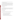overall ammonia measurement will be available during the test and will be used to improve reference method procedures, if necessary.

The performance of the ISE and the IC used to analyze the reference samples shall be audited by analyzing an ammonium standard that is independent of those used for the calibration. This sample will be provided as a blind audit sample, and the operator of the ISE and the IC should not be aware of the concentration of the sample. If agreement between the measured concentration and the standard concentration is not within  $\pm 10\%$ , the cause of the discrepancy will be investigated and rectified if possible.

#### **5.3.3 Data Quality Audit**

Battelle's Quality Manager shall audit at least 10% of the verification data acquired in the verification test. The Quality Manager will trace the data from initial acquisition, through reduction and statistical comparisons, to final reporting. All calculations performed on the data undergoing audit will be checked.

#### **5.3.4 Assessment Reports**

Each assessment and audit will be documented in accordance with Section 3.3.4 of the QMP for the AMS Center.<sup>(1)</sup> Assessment reports will include the following:

- Identification of any adverse findings or potential problems
- Space for response to adverse findings or potential problems
- Possible recommendations for resolving problems
- Citation of any noteworthy practices that may be of use to others
- Confirmation that corrective actions have been implemented and are effective.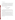#### **5.3.5 Corrective Action**

The Battelle Quality Manager, during the course of any assessment or audit, shall identify to the technical staff performing experimental activities any immediate corrective action that should be taken. If serious quality problems exist, the Battelle Quality Manager is authorized to stop work. Once the assessment report has been prepared, the Verification Test Coordinator shall ensure that a response is provided for each adverse finding or potential problem and implement any necessary followup corrective action. The Battelle Quality Manager shall ensure that follow-up corrective action has been taken.

# **6 DATA ANALYSIS AND REPORTING**

#### **6.1 Data Acquisition**

Data acquisition in the verification test includes recording the data from the CEMs undergoing testing, documenting sampling conditions and analytical results from the reference method, and recording operational data such as combustion source conditions, test temperatures, and the times of test activities.

Data storage for the commercial CEMs undergoing verification shall be the responsibility of the CEM vendors. Each CEM must have some form of data acquisition device, such as a digital display whose readings can be recorded manually, a printout of analyzer response, or an electronic data recorder that stores individual analyzer readings. The vendor shall be responsible for reporting the response of the CEM for the entire test period. The CEM data are to be provided to Battelle regularly and must include all individual readings of the CEM listed by time of day. Averaged results, e.g., ammonia data averaged over the period of a reference method sampling run, may also be provided, if available. If not provided, averaging will be performed by Battelle in data processing.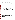Other data shall be recorded in laboratory record books. These records will be reviewed by Battelle to identify and resolve any inconsistencies. All written records must be in ink. Any corrections to notebook entries, or changes in recorded data, must be made with a single line through the original entry. The correction is then to be entered, initialed, and dated by the person making the correction.

In all cases, strict confidentiality of data from each vendor's CEM, and strict separation of data from different CEMs, shall be maintained. Separate files (including manual records, printouts, and/or electronic data files) shall be kept for each CEM. At no time during verification testing will Battelle staff engage in any comparison in performance of the participating CEMs.

Table 3 summarizes the types of data to be recorded; how, how often, and by whom the recording is made; and the disposition or subsequent processing of the data. The general approach is to record all test information immediately and in a consistent format throughout all tests. Data recorded by the vendors is to be turned over to Battelle staff immediately upon completion of each test day. Identical file formats will be used to make quantitative evaluations of the data from all CEMs tested, to assure uniformity of data treatment. This process of data recording and compiling will be overseen by the Verification Test Coordinator.

#### **6.2 Data Review**

Records generated in the verification test shall be reviewed by a Battelle staff member within two weeks after the completion of the test, before these records are used to calculate, evaluate, or report verification results. These records may include laboratory record books; operating data from the combustion source, data from the CEMs, or reference method analytical results. This review will be performed by a Battelle technical staff member involved in the verification test, but not the staff member that originally generated the record. The host facility, subcontractor and/or vendor staff will be consulted as needed to clarify any issues about the data records. The review will be documented by the person performing the review by adding his/her initials and date to a hard copy of the record being reviewed.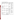| Data to be<br><b>Recorded</b>                                                                                    | <b>Responsible</b><br>Party      | <b>Where Recorded</b>                                                                                                    | <b>How Often</b><br><b>Recorded</b>                                                               | <b>Disposition of</b><br>Data <sup>(a)</sup>                                                                    |
|------------------------------------------------------------------------------------------------------------------|----------------------------------|--------------------------------------------------------------------------------------------------------------------------|---------------------------------------------------------------------------------------------------|-----------------------------------------------------------------------------------------------------------------|
| Dates, times of test<br>events                                                                                   | <b>Battelle</b>                  | Laboratory record<br>books                                                                                               | Start/end of test,<br>and at each<br>change of a test<br>parameter.                               | Used to<br>organize/check<br>test results;<br>manually<br>incorporated in<br>data spreadsheets<br>as necessary. |
| Test parameters<br>(temperature,<br>analyte/interferant<br>identities and<br>concentrations, gas<br>flows, etc.) | <b>Battelle</b><br>Host facility | Laboratory record<br>books                                                                                               | When set or<br>changed, or as<br>needed to<br>document<br>stability.                              | Used to<br>organize/check<br>test results,<br>manually<br>incorporated in<br>data spreadsheets<br>as necessary. |
| NH <sub>3</sub> CEM readings                                                                                     | Vendor or<br>designee            | Data acquisition<br>system (data logger,<br>PC, laptop, etc.).                                                           | Continuously at<br>specified<br>acquisition rate<br>throughout CEM<br>operation.                  | Electronically<br>transferred to<br>spreadsheets                                                                |
| Reference method<br>sampling data                                                                                | <b>Battelle</b><br>Host facility | Laboratory record<br>books or file data<br>sheets as<br>appropriate                                                      | At least at<br>start/end of<br>reference sample,<br>and at each<br>change of a test<br>parameter. | Used to<br>organize/check<br>test results;<br>manually<br>incorporated in<br>data spreadsheets<br>as necessary. |
| Reference method<br>sample analysis,<br>chain of custody,<br>and results                                         | <b>Battelle</b><br>Host facility | Laboratory record<br>books, chain of<br>custody forms, data<br>sheets, or data<br>acquisition system,<br>as appropriate. | Throughout<br>sample handling<br>and analysis<br>process                                          | Transferred to<br>spreadsheets                                                                                  |

**Table 3. Summary of Data Recording Process** 

(a) All activities subsequent to data recording are carried out by Battelle.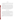#### **6.3 Reporting**

Separate verification reports shall be prepared for each CEM provided by one commercial vendor. The verification report will present the test data, as well as the results of the statistical evaluation of those data.

The verification reports will briefly describe the ETV program, the AMS Center, and the procedures used in verification testing. These sections will be common to each verification report resulting from this verification test. The results of the verification test will then be stated quantitatively, without comparison to any other CEM tested or comment on the acceptability of the CEM's performance. The preparation of draft verification reports, the review of reports by vendors and others, the revision of the reports, final approval, and the distribution of the reports will be conducted as stated in the Generic Verification Protocol for the Advanced Monitoring Systems Pilot.<sup>(5)</sup> Preparation, approval, and use of verification statements summarizing the results of this test will also be subject to the requirements of that same protocol.

# **7 HEALTH AND SAFETY**

The verification test described in this protocol shall be performed at the host facility. All participants in this verification test will adhere to the health and safety requirements of the facility. Vendor staff will operate only their CEMs during the verification test. They are not responsible for, nor permitted to, operate the combustion source or perform any other verification activities identified in this protocol. Operating the CEMs themselves does not pose any known chemical, fire, mechanical, electrical, noise, or other potential hazard.

All visiting staff at the host facility will be given a site-specific safety briefing prior to the installation and operation of the CEMs. This briefing will include a description of emergency operating procedures (i.e., in case of fire, tornado, laboratory accident) and identification and location and operation of safety equipment (e.g., fire alarms, fire extinguishers, eye washes, exits).